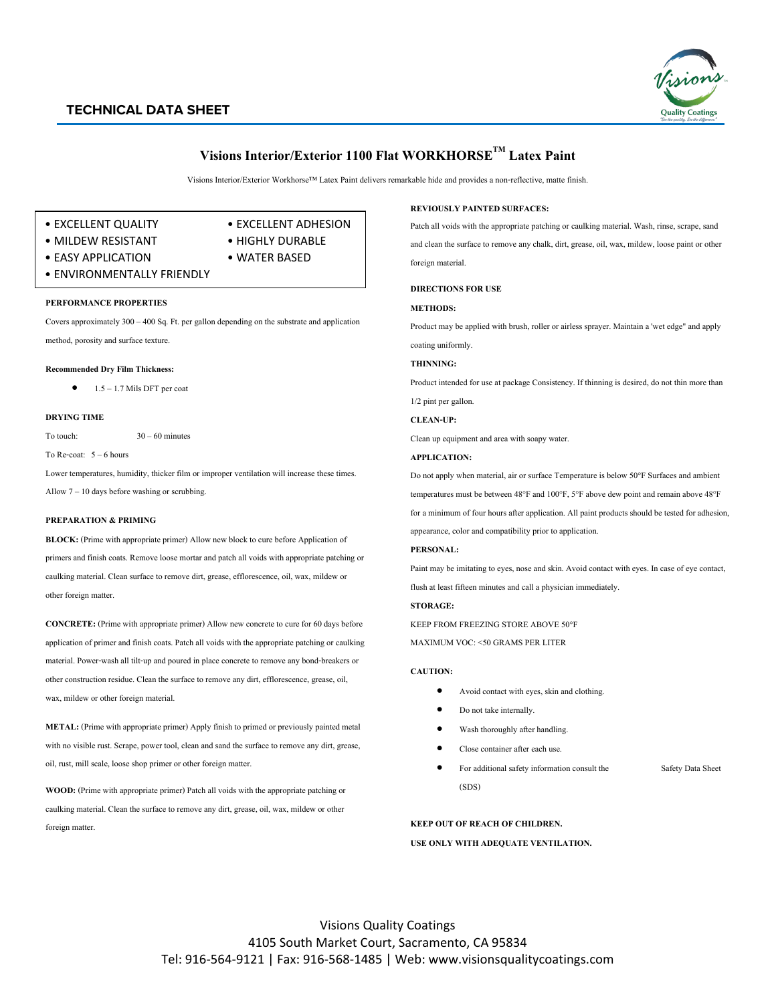# **TECHNICAL DATA SHEET**



# **Visions Interior/Exterior1100 Flat WORKHORSETM Latex Paint**

Visions Interior/Exterior Workhorse™ Latex Paint delivers remarkable hide and provides a non-reflective, matte finish.

- EXCELLENT QUALITY EXCELLENT ADHESION
	-
- MILDEW RESISTANT HIGHLY DURABLE
- EASY APPLICATION WATER BASED
- ENVIRONMENTALLY FRIENDLY

#### **PERFORMANCE PROPERTIES**

Covers approximately 300 – 400 Sq. Ft. per gallon depending on the substrate and application method, porosity and surface texture.

#### **Recommended Dry Film Thickness:**

 $1.5 - 1.7$  Mils DFT per coat

#### **DRYING TIME**

To touch: 30 – 60 minutes

To Re-coat:  $5 - 6$  hours

Lower temperatures, humidity, thicker film or improper ventilation will increase these times. Allow 7 – 10 days before washing or scrubbing.

## **PREPARATION & PRIMING**

**BLOCK:** (Prime with appropriate primer) Allow new block to cure before Application of primers and finish coats. Remove loose mortar and patch all voids with appropriate patching or caulking material. Clean surface to remove dirt, grease, efflorescence, oil, wax, mildew or other foreign matter.

**CONCRETE:** (Prime with appropriate primer) Allow new concrete to cure for 60 days before application of primer and finish coats. Patch all voids with the appropriate patching or caulking material. Power-wash all tilt-up and poured in place concrete to remove any bond-breakers or other construction residue. Clean the surface to remove any dirt, efflorescence, grease, oil, wax, mildew or other foreign material.

**METAL:** (Prime with appropriate primer) Apply finish to primed or previously painted metal with no visible rust. Scrape, power tool, clean and sand the surface to remove any dirt, grease, oil, rust, mill scale, loose shop primer or other foreign matter.

**WOOD:** (Prime with appropriate primer) Patch all voids with the appropriate patching or caulking material. Clean the surface to remove any dirt, grease, oil, wax, mildew or other foreign matter.

## **REVIOUSLY PAINTED SURFACES:**

Patch all voids with the appropriate patching or caulking material. Wash, rinse, scrape, sand and clean the surface to remove any chalk, dirt, grease, oil, wax, mildew, loose paint or other foreign material.

**DIRECTIONS FOR USE**

#### **METHODS:**

Product may be applied with brush, roller or airless sprayer. Maintain a 'wet edge" and apply coating uniformly.

# **THINNING:**

Product intended for use at package Consistency. If thinning is desired, do not thin more than 1/2 pint per gallon.

**CLEAN-UP:**

Clean up equipment and area with soapy water.

#### **APPLICATION:**

Do not apply when material, air or surface Temperature is below 50°F Surfaces and ambient temperatures must be between 48°F and 100°F, 5°F above dew point and remain above 48°F for a minimum of four hours after application. All paint products should be tested for adhesion, appearance, color and compatibility prior to application.

## **PERSONAL:**

Paint may be imitating to eyes, nose and skin. Avoid contact with eyes. In case of eye contact, flush at least fifteen minutes and call a physician immediately.

#### **STORAGE:**

KEEP FROM FREEZING STORE ABOVE 50°F

MAXIMUM VOC: <50 GRAMS PER LITER

## **CAUTION:**

- Avoid contact with eyes, skin and clothing.
- Do not take internally.
- Wash thoroughly after handling.
- Close container after each use.
- For additional safety information consult the Safety Data Sheet (SDS)

**KEEP OUT OF REACH OF CHILDREN.**

## **USE ONLY WITH ADEQUATE VENTILATION.**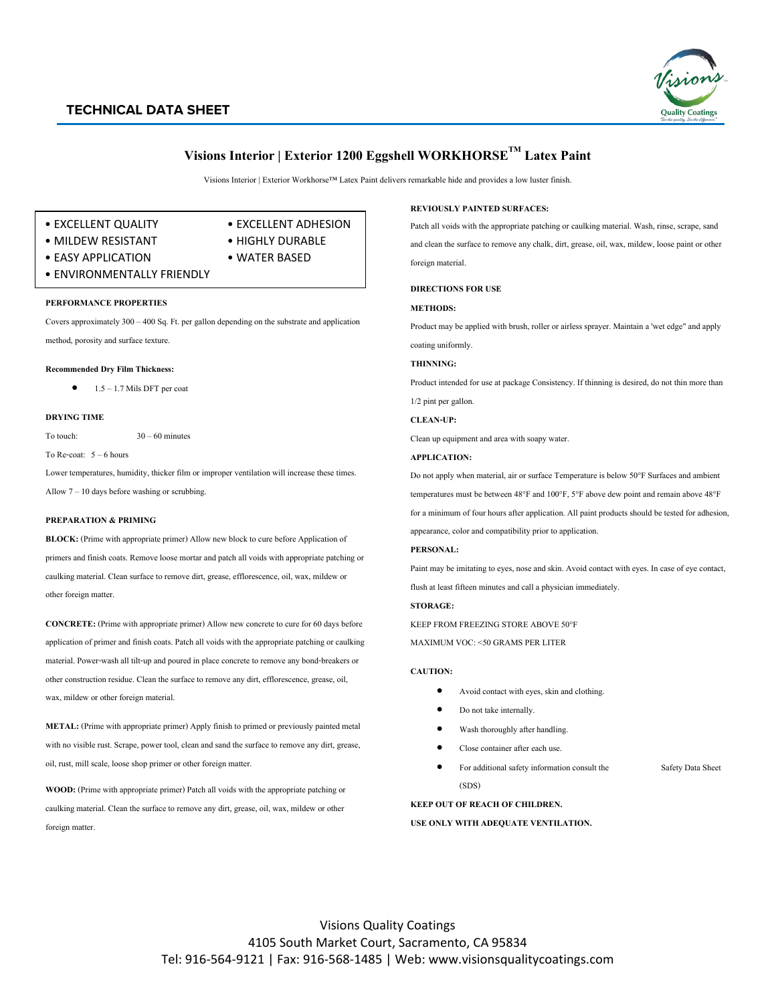## **TECHNICAL DATA SHEET**



# **Visions Interior | Exterior 1200 Eggshell WORKHORSETM Latex Paint**

Visions Interior | Exterior Workhorse™ Latex Paint delivers remarkable hide and provides a low luster finish.

- EXCELLENT QUALITY EXCELLENT ADHESION
	-
- MILDEW RESISTANT HIGHLY DURABLE
	-
- EASY APPLICATION WATER BASED
- ENVIRONMENTALLY FRIENDLY

### **PERFORMANCE PROPERTIES**

Covers approximately 300 – 400 Sq. Ft. per gallon depending on the substrate and application method, porosity and surface texture.

#### **Recommended Dry Film Thickness:**

 $1.5 - 1.7$  Mils DFT per coat

#### **DRYING TIME**

To touch:  $30 - 60$  minutes

To Re-coat: 5 – 6 hours

Lower temperatures, humidity, thicker film or improper ventilation will increase these times. Allow  $7 - 10$  days before washing or scrubbing.

## **PREPARATION & PRIMING**

**BLOCK:** (Prime with appropriate primer) Allow new block to cure before Application of primers and finish coats. Remove loose mortar and patch all voids with appropriate patching or caulking material. Clean surface to remove dirt, grease, efflorescence, oil, wax, mildew or other foreign matter.

**CONCRETE:** (Prime with appropriate primer) Allow new concrete to cure for 60 days before application of primer and finish coats. Patch all voids with the appropriate patching or caulking material. Power-wash all tilt-up and poured in place concrete to remove any bond-breakers or other construction residue. Clean the surface to remove any dirt, efflorescence, grease, oil, wax, mildew or other foreign material.

**METAL:** (Prime with appropriate primer) Apply finish to primed or previously painted metal with no visible rust. Scrape, power tool, clean and sand the surface to remove any dirt, grease, oil, rust, mill scale, loose shop primer or other foreign matter.

**WOOD:** (Prime with appropriate primer) Patch all voids with the appropriate patching or caulking material. Clean the surface to remove any dirt, grease, oil, wax, mildew or other foreign matter.

### **REVIOUSLY PAINTED SURFACES:**

Patch all voids with the appropriate patching or caulking material. Wash, rinse, scrape, sand and clean the surface to remove any chalk, dirt, grease, oil, wax, mildew, loose paint or other foreign material.

**DIRECTIONS FOR USE**

## **METHODS:**

Product may be applied with brush, roller or airless sprayer. Maintain a 'wet edge" and apply coating uniformly.

## **THINNING:**

Product intended for use at package Consistency. If thinning is desired, do not thin more than 1/2 pint per gallon.

#### **CLEAN-UP:**

Clean up equipment and area with soapy water.

#### **APPLICATION:**

Do not apply when material, air or surface Temperature is below 50°F Surfaces and ambient temperatures must be between 48°F and 100°F, 5°F above dew point and remain above 48°F for a minimum of four hours after application. All paint products should be tested for adhesion, appearance, color and compatibility prior to application.

## **PERSONAL:**

Paint may be imitating to eyes, nose and skin. Avoid contact with eyes. In case of eye contact, flush at least fifteen minutes and call a physician immediately.

#### **STORAGE:**

KEEP FROM FREEZING STORE ABOVE 50°F

MAXIMUM VOC: <50 GRAMS PER LITER

## **CAUTION:**

- Avoid contact with eyes, skin and clothing.
- Do not take internally.
- Wash thoroughly after handling.
- Close container after each use.
- For additional safety information consult the Safety Data Sheet (SDS)

**KEEP OUT OF REACH OF CHILDREN.**

## **USE ONLY WITH ADEQUATE VENTILATION.**